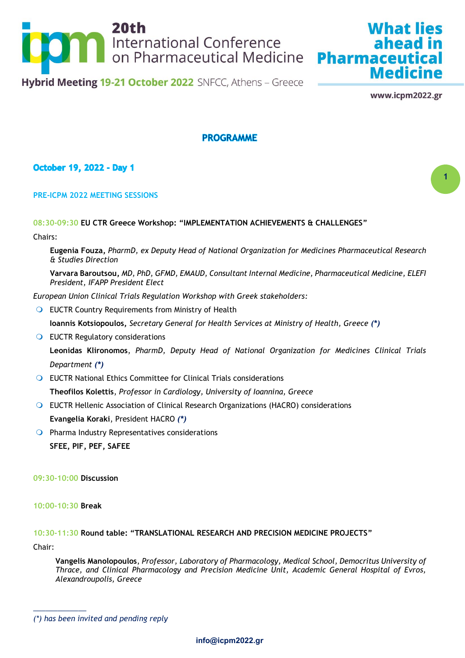

www.icpm2022.gr

**Medicine** 

**What lies** 

**1**

# **PROGRAMME**

## **October 19, 2022 - Day 1**

#### **PRE-ICPM 2022 MEETING SESSIONS**

#### **08:30-09:30 EU CTR Greece Workshop: "IMPLEMENTATION ACHIEVEMENTS & CHALLENGES"**

Chairs:

**Eugenia Fouza,** *PharmD, ex Deputy Head of National Organization for Medicines Pharmaceutical Research & Studies Direction*

**Varvara Baroutsou,** *MD, PhD, GFMD, EMAUD, Consultant Internal Medicine, Pharmaceutical Medicine, ELEFI President, IFAPP President Elect*

*European Union Clinical Trials Regulation Workshop with Greek stakeholders:*

**O** EUCTR Country Requirements from Ministry of Health

**Ioannis Kotsiopoulos,** *Secretary General for Health Services at Ministry of Health, Greece (\*)*

- **O** EUCTR Regulatory considerations **Leonidas Klironomos**, *PharmD, Deputy Head of National Organization for Medicines Clinical Trials Department (\*)*
- EUCTR National Ethics Committee for Clinical Trials considerations **Theofilos Kolettis**, *Professor in Cardiology, University of Ioannina, Greece*
- EUCTR Hellenic Association of Clinical Research Organizations (HACRO) considerations **Evangelia Koraki**, President HACRO *(\*)*
- $\bigcirc$  Pharma Industry Representatives considerations **SFEE, PIF, PEF, SAFEE**

#### **09:30-10:00 Discussion**

**10:00-10:30 Break**

# **10:30-11:30 Round table: "TRANSLATIONAL RESEARCH AND PRECISION MEDICINE PROJECTS"**

Chair:

*\_\_\_\_\_\_\_\_\_\_\_\_\_*

**Vangelis Manolopoulos**, *Professor, Laboratory of Pharmacology, Medical School, Democritus University of Thrace, and Clinical Pharmacology and Precision Medicine Unit, Academic General Hospital of Evros, Alexandroupolis, Greece*

*<sup>(\*)</sup> has been invited and pending reply*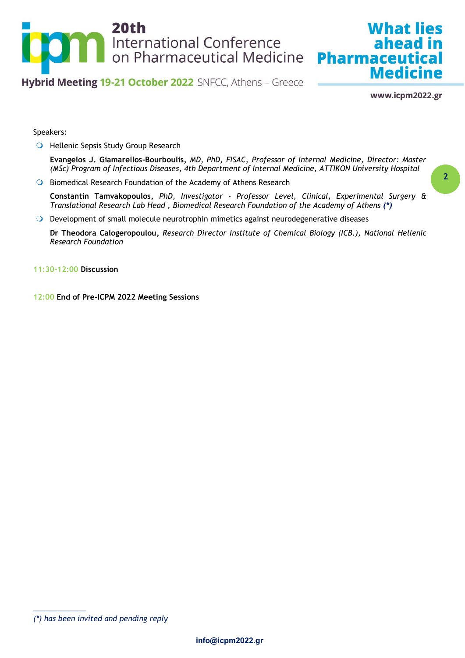

www.icpm2022.gr

**Medicine** 

**What lies** 

Speakers:

**O** Hellenic Sepsis Study Group Research

**Evangelos J. Giamarellos-Bourboulis,** *MD, PhD, FISAC, Professor of Internal Medicine, Director: Master (MSc) Program of Infectious Diseases, 4th Department of Internal Medicine, ATTIKON University Hospital*

**Biomedical Research Foundation of the Academy of Athens Research** 

**Constantin Tamvakopoulos,** *PhD, Investigator - Professor Level, [Clinical, Experimental Surgery &](http://www.bioacademy.gr/center-details/Gw/clinical-experimental-surgery-translational-research)  [Translational Research](http://www.bioacademy.gr/center-details/Gw/clinical-experimental-surgery-translational-research) Lab Head , Biomedical Research Foundation of the Academy of Athens (\*)*

Development of small molecule neurotrophin mimetics against neurodegenerative diseases

**Dr Theodora Calogeropoulou,** *Research Director Institute of Chemical Biology (ICB.), National Hellenic Research Foundation*

**11:30-12:00 Discussion**

**12:00 End of Pre-ICPM 2022 Meeting Sessions**

*<sup>(\*)</sup> has been invited and pending reply*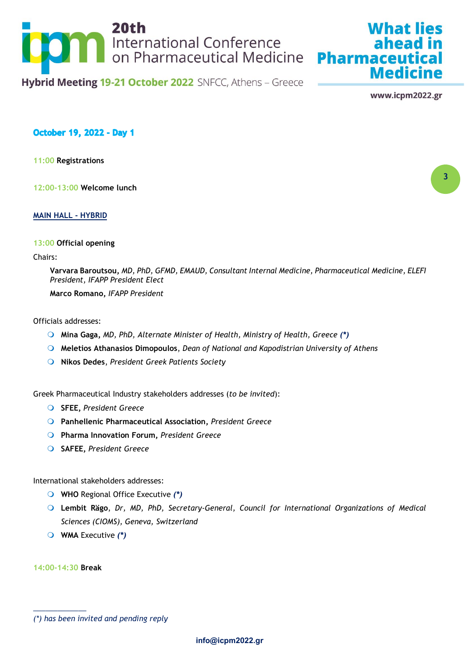

www.icpm2022.gr

**Medicine** 

**What lies** 

**3**

**October 19, 2022 - Day 1** 

**11:00 Registrations**

**12:00-13:00 Welcome lunch**

**MAIN HALL - HYBRID**

#### **13:00 Official opening**

#### Chairs:

**Varvara Baroutsou,** *MD, PhD, GFMD, EMAUD, Consultant Internal Medicine, Pharmaceutical Medicine, ELEFI President, IFAPP President Elect*

**Marco Romano,** *IFAPP President*

Officials addresses:

- **Mina Gaga,** *MD, PhD, Alternate Minister of Health, Ministry of Health, Greece (\*)*
- **Meletios Athanasios Dimopoulos**, *Dean of National and Kapodistrian University of Athens*
- **Nikos Dedes**, *President Greek Patients Society*

Greek Pharmaceutical Industry stakeholders addresses (*to be invited*):

- **SFEE,** *President Greece*
- **Panhellenic Pharmaceutical Association,** *President Greece*
- **Pharma Innovation Forum,** *President Greece*
- **SAFEE,** *President Greece*

International stakeholders addresses:

- **WHO** Regional Office Executive *(\*)*
- **Lembit Rägo**, *Dr, MD, PhD, Secretary-General, Council for International Organizations of Medical Sciences (CIOMS), Geneva, Switzerland*
- **WMA** Executive *(\*)*

**14:00-14:30 Break**

*<sup>(\*)</sup> has been invited and pending reply*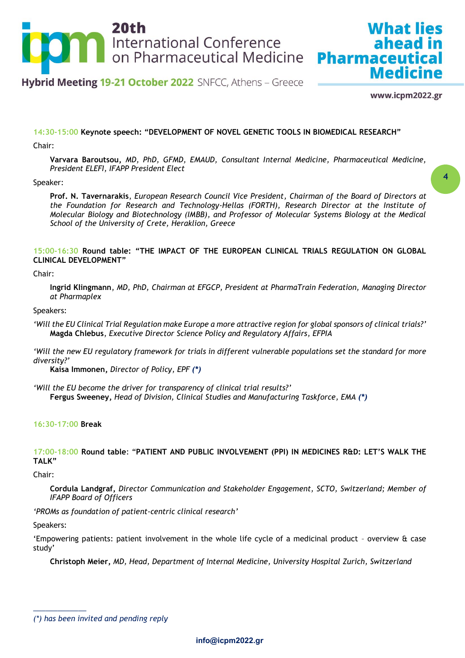

www.icpm2022.gr

**Medicine** 

**What lies** 

ahead in

**4**

#### **14:30-15:00 Keynote speech: "DEVELOPMENT OF NOVEL GENETIC TOOLS IN BIOMEDICAL RESEARCH"**

Chair:

**Varvara Baroutsou,** *MD, PhD, GFMD, EMAUD, Consultant Internal Medicine, Pharmaceutical Medicine, President ELEFI, IFAPP President Elect*

#### Speaker:

**Prof. N. Tavernarakis**, *European Research Council Vice President, Chairman of the Board of Directors at the Foundation for Research and Technology-Hellas (FORTH), Research Director at the Institute of Molecular Biology and Biotechnology (IMBB), and Professor of Molecular Systems Biology at the Medical School of the University of Crete, Heraklion, Greece*

#### **15:00-16:30 Round table: "THE IMPACT OF THE EUROPEAN CLINICAL TRIALS REGULATION ON GLOBAL CLINICAL DEVELOPMENT"**

Chair:

**Ingrid Klingmann**, *MD, PhD, Chairman at EFGCP, President at PharmaTrain Federation, Managing Director at Pharmaplex*

#### Speakers:

- *'Will the EU Clinical Trial Regulation make Europe a more attractive region for global sponsors of clinical trials?'* **Magda Chlebus**, *Executive Director Science Policy and Regulatory Affairs, EFPIA*
- *'Will the new EU regulatory framework for trials in different vulnerable populations set the standard for more diversity?'*

**Kaisa Immonen,** *Director of Policy, EPF (\*)*

*'Will the EU become the driver for transparency of clinical trial results?'* **Fergus Sweeney,** *Head of Division, Clinical Studies and Manufacturing Taskforce, EMA (\*)*

#### **16:30-17:00 Break**

**17:00-18:00 Round table**: "**PATIENT AND PUBLIC INVOLVEMENT (PPI) IN MEDICINES R&D: LET'S WALK THE TALK"**

Chair:

**Cordula Landgraf,** *Director Communication and Stakeholder Engagement, SCTO, Switzerland; Member of IFAPP Board of Officers*

*'PROMs as foundation of patient-centric clinical research'*

Speakers:

*\_\_\_\_\_\_\_\_\_\_\_\_\_*

'Empowering patients: patient involvement in the whole life cycle of a medicinal product – overview & case study'

**Christoph Meier,** *MD, Head, Department of Internal Medicine, University Hospital Zurich, Switzerland*

*<sup>(\*)</sup> has been invited and pending reply*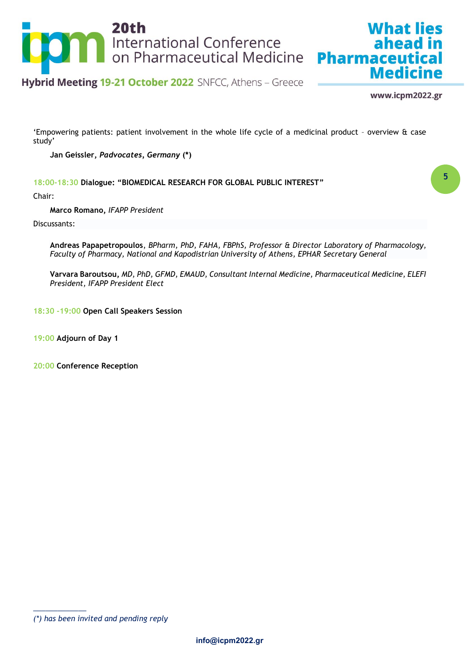

www.icpm2022.gr

**Medicine** 

**What lies** 

**5**

'Empowering patients: patient involvement in the whole life cycle of a medicinal product – overview & case study'

**Jan Geissler,** *Padvocates, Germany* **(\*)**

**18:00-18:30 Dialogue: "BIOMEDICAL RESEARCH FOR GLOBAL PUBLIC INTEREST"**

Chair:

**Marco Romano,** *IFAPP President*

Discussants:

**Andreas Papapetropoulos**, *BPharm, PhD, FAHA, FBPhS, Professor & Director Laboratory of Pharmacology, Faculty of Pharmacy, National and Kapodistrian University of Athens, EPHAR Secretary General*

**Varvara Baroutsou,** *MD, PhD, GFMD, EMAUD, Consultant Internal Medicine, Pharmaceutical Medicine, ELEFI President, IFAPP President Elect*

**18:30 -19:00 Open Call Speakers Session**

**19:00 Adjourn of Day 1**

**20:00 Conference Reception** 

*<sup>(\*)</sup> has been invited and pending reply*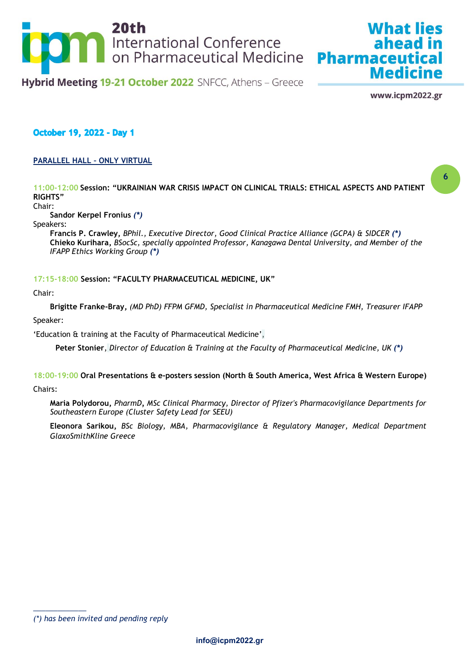

www.icpm2022.gr

**Medicine** 

**What lies** 

## **October 19, 2022 - Day 1**

### **PARALLEL HALL – ONLY VIRTUAL**

**11:00-12:00 Session: "UKRAINIAN WAR CRISIS IMPACT ON CLINICAL TRIALS: ETHICAL ASPECTS AND PATIENT RIGHTS"**

Chair:

**Sandor Kerpel Fronius** *(\*)*

Speakers:

**Francis P. Crawley,** *BPhil., Executive Director, Good Clinical Practice Alliance (GCPA) & SIDCER (\*)* **Chieko Kurihara,** *BSocSc, specially appointed Professor, Kanagawa Dental University, and Member of the IFAPP Ethics Working Group (\*)*

#### **17:15-18:00 Session: "FACULTY PHARMACEUTICAL MEDICINE, UK"**

#### Chair:

**Brigitte Franke-Bray,** *(MD PhD) FFPM GFMD, Specialist in Pharmaceutical Medicine FMH, Treasurer IFAPP*

Speaker:

'Education & training at the Faculty of Pharmaceutical Medicine',

**Peter Stonier**, *Director of Education & Training at the Faculty of Pharmaceutical Medicine, UK (\*)*

# **18:00-19:00 Oral Presentations & e-posters session (North & South America, West Africa & Western Europe)**

Chairs:

**Maria Polydorou,** *PharmD, MSc Clinical Pharmacy, Director of Pfizer's Pharmacovigilance Departments for Southeastern Europe (Cluster Safety Lead for SEEU)*

**Eleonora Sarikou,** *BSc Biology, MBA, Pharmacovigilance & Regulatory Manager, Medical Department GlaxoSmithKline Greece*

**<sup>6</sup>**

*<sup>(\*)</sup> has been invited and pending reply*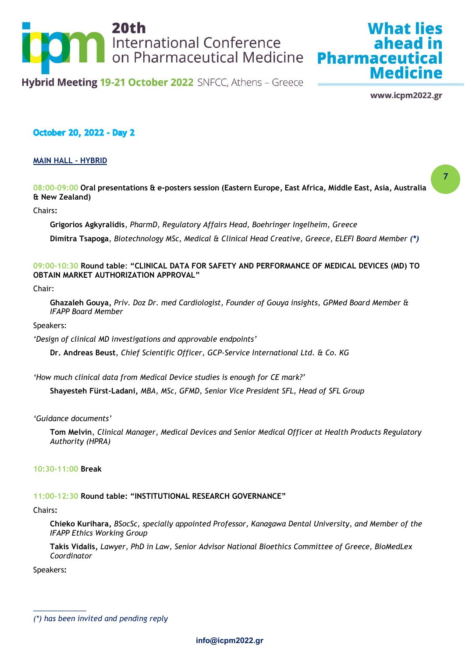

www.icpm2022.gr

**Medicine** 

What lies

**7**

## **October 20, 2022 - Day 2**

#### **MAIN HALL - HYBRID**

**08:00-09:00 Oral presentations & e-posters session (Eastern Europe, East Africa, Middle East, Asia, Australia & New Zealand)**

#### Chairs**:**

**Grigorios Agkyralidis**, *PharmD, Regulatory Affairs Head, Boehringer Ingelheim, Greece*

**Dimitra Tsapoga**, *Biotechnology MSc, Medical & Clinical Head Creative, Greece, ELEFI Board Member (\*)*

#### **09:00-10:30 Round table**: **"CLINICAL DATA FOR SAFETY AND PERFORMANCE OF MEDICAL DEVICES (MD) TO OBTAIN MARKET AUTHORIZATION APPROVAL"**

#### Chair:

**Ghazaleh Gouya,** *Priv. Doz Dr. med Cardiologist, Founder of Gouya insights, GPMed Board Member & IFAPP Board Member*

Speakers:

*'Design of clinical MD investigations and approvable endpoints'*

**Dr. Andreas Beust***, Chief Scientific Officer, GCP-Service International Ltd. & Co. KG*

*'How much clinical data from Medical Device studies is enough for CE mark?'*

**Shayesteh Fürst-Ladani,** *MBA, MSc, GFMD, Senior Vice President SFL, Head of SFL Group*

*'Guidance documents'*

**Tom Melvin***, Clinical Manager, Medical Devices and Senior Medical Officer at Health Products Regulatory Authority (HPRA)*

**10:30-11:00 Break**

## **11:00-12:30 Round table: "INSTITUTIONAL RESEARCH GOVERNANCE"**

#### Chairs**:**

**Chieko Kurihara,** *BSocSc, specially appointed Professor, Kanagawa Dental University, and Member of the IFAPP Ethics Working Group*

**Takis Vidalis,** *Lawyer, PhD in Law, Senior Advisor National Bioethics Committee of Greece, BioMedLex Coordinator*

Speakers**:** 

*<sup>(\*)</sup> has been invited and pending reply*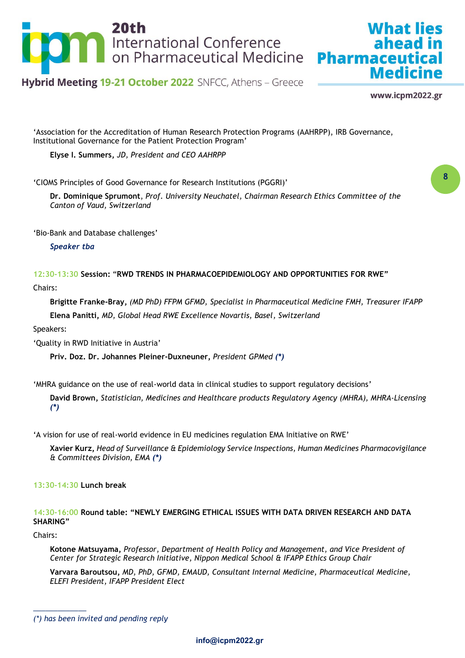

# **What lies** ahead in **Medicine**

Hybrid Meeting 19-21 October 2022 SNFCC, Athens - Greece

www.icpm2022.gr

**8**

'Association for the Accreditation of Human Research Protection Programs (AAHRPP), IRB Governance, Institutional Governance for the Patient Protection Program'

**Elyse I. Summers,** *JD, President and CEO AAHRPP*

'CIOMS Principles of Good Governance for Research Institutions (PGGRI)'

**Dr. Dominique Sprumont**, *Prof. University Neuchatel, Chairman Research Ethics Committee of the Canton of Vaud, Switzerland* 

'Bio-Bank and Database challenges'

*Speaker tba*

**12:30-13:30 Session:** "**RWD TRENDS IN PHARMACOEPIDEMIOLOGY AND OPPORTUNITIES FOR RWE"**

Chairs:

**Brigitte Franke-Bray,** *(MD PhD) FFPM GFMD, Specialist in Pharmaceutical Medicine FMH, Treasurer IFAPP* **Elena Panitti,** *MD, Global Head RWE Excellence Novartis, Basel, Switzerland* 

Speakers:

'Quality in RWD Initiative in Austria'

**Priv. Doz. Dr. Johannes Pleiner-Duxneuner,** *President GPMed (\*)*

'MHRA guidance on the use of real-world data in clinical studies to support regulatory decisions'

**David Brown,** *Statistician, Medicines and Healthcare products Regulatory Agency (MHRA), MHRA-Licensing (\*)*

'A vision for use of real-world evidence in EU medicines regulation EMA Initiative on RWE'

**Xavier Kurz,** *Head of Surveillance & Epidemiology Service Inspections, Human Medicines Pharmacovigilance & Committees Division, EMA (\*)*

**13:30-14:30 Lunch break**

#### **14:30-16:00 Round table: "NEWLY EMERGING ETHICAL ISSUES WITH DATA DRIVEN RESEARCH AND DATA SHARING"**

Chairs:

*\_\_\_\_\_\_\_\_\_\_\_\_\_*

**Kotone Matsuyama,** *Professor, Department of Health Policy and Management, and Vice President of Center for Strategic Research Initiative, Nippon Medical School & IFAPP Ethics Group Chair*

**Varvara Baroutsou,** *MD, PhD, GFMD, EMAUD, Consultant Internal Medicine, Pharmaceutical Medicine, ELEFI President, IFAPP President Elect*

*<sup>(\*)</sup> has been invited and pending reply*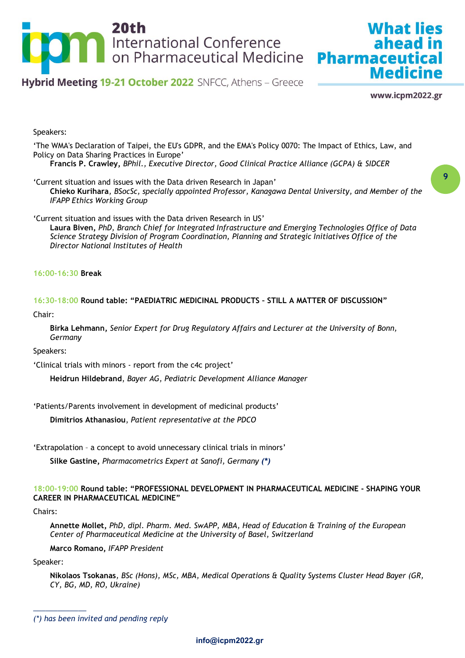

www.icpm2022.gr

**Medicine** 

**What lies** 

Speakers:

'The WMA's Declaration of Taipei, the EU's GDPR, and the EMA's Policy 0070: The Impact of Ethics, Law, and Policy on Data Sharing Practices in Europe'

**Francis P. Crawley,** *BPhil., Executive Director, Good Clinical Practice Alliance (GCPA) & SIDCER*

'Current situation and issues with the Data driven Research in Japan' **Chieko Kurihara***, BSocSc, specially appointed Professor, Kanagawa Dental University, and Member of the IFAPP Ethics Working Group*

'Current situation and issues with the Data driven Research in US' **Laura Biven,** *PhD, Branch Chief for Integrated Infrastructure and Emerging Technologies Office of Data Science Strategy Division of Program Coordination, Planning and Strategic Initiatives Office of the Director National Institutes of Health*

#### **16:00-16:30 Break**

**16:30-18:00 Round table: "PAEDIATRIC MEDICINAL PRODUCTS – STILL A MATTER OF DISCUSSION"**

Chair:

**Birka Lehmann,** *Senior Expert for Drug Regulatory Affairs and Lecturer at the University of Bonn, Germany*

Speakers:

'Clinical trials with minors - report from the c4c project'

**Heidrun Hildebrand**, *Bayer AG, Pediatric Development Alliance Manager*

'Patients/Parents involvement in development of medicinal products'

**Dimitrios Athanasiou**, *Patient representative at the PDCO*

'Extrapolation – a concept to avoid unnecessary clinical trials in minors'

**Silke Gastine,** *Pharmacometrics Expert at Sanofi, Germany (\*)*

#### **18:00-19:00 Round table: "PROFESSIONAL DEVELOPMENT IN PHARMACEUTICAL MEDICINE - SHAPING YOUR CAREER IN PHARMACEUTICAL MEDICINE"**

Chairs:

**Annette Mollet,** *PhD, dipl. Pharm. Med. SwAPP, MBA, Head of Education & Training of the European Center of Pharmaceutical Medicine at the University of Basel, Switzerland*

**Marco Romano,** *IFAPP President*

Speaker:

*\_\_\_\_\_\_\_\_\_\_\_\_\_*

**Nikolaos Tsokanas***, BSc (Hons), MSc, MBA, Medical Operations & Quality Systems Cluster Head Bayer (GR, CY, BG, MD, RO, Ukraine)*

*<sup>(\*)</sup> has been invited and pending reply*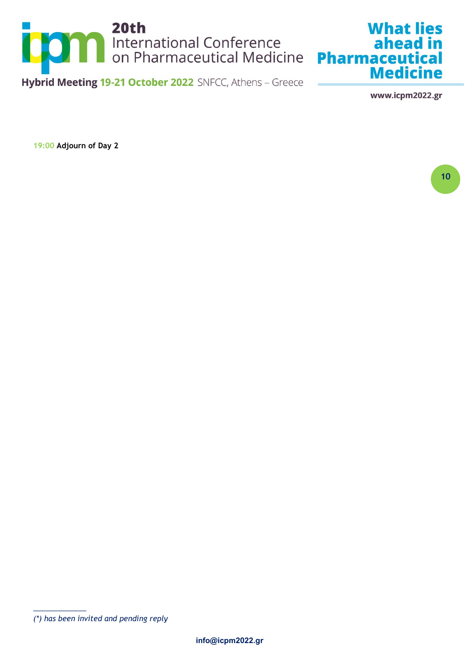

www.icpm2022.gr

**19:00 Adjourn of Day 2** 

**<sup>10</sup>**

*<sup>(\*)</sup> has been invited and pending reply*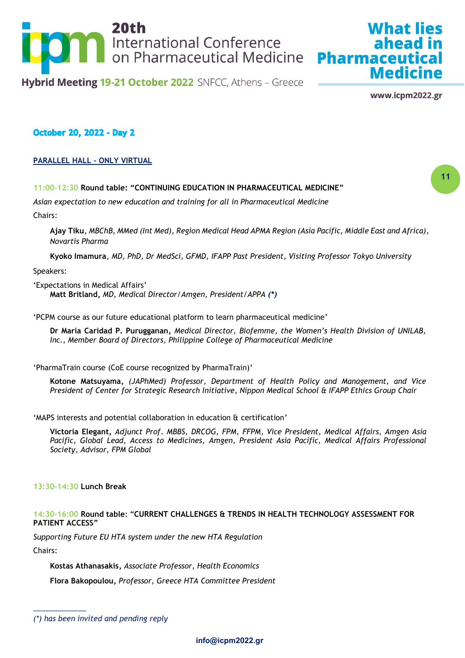

www.icpm2022.gr

**Medicine** 

**What lies** 

ahead in

## **October 20, 2022 - Day 2**

#### **PARALLEL HALL – ONLY VIRTUAL**

#### **11:00-12:30 Round table: "CONTINUING EDUCATION IN PHARMACEUTICAL MEDICINE"**

*Asian expectation to new education and training for all in Pharmaceutical Medicine*

Chairs:

**Ajay Tiku**, *MBChB, MMed (Int Med), Region Medical Head APMA Region (Asia Pacific, Middle East and Africa), Novartis Pharma*

**Kyoko Imamura**, *MD, PhD, Dr MedSci, GFMD, IFAPP Past President, Visiting Professor Tokyo University*

Speakers:

'Expectations in Medical Affairs' **Matt Britland,** *MD, Medical Director/Amgen, President/APPA (\*)*

'PCPM course as our future educational platform to learn pharmaceutical medicine'

**Dr Maria Caridad P. Purugganan,** *Medical Director, Biofemme, the Women's Health Division of UNILAB, Inc., Member Board of Directors, Philippine College of Pharmaceutical Medicine*

'PharmaTrain course (CoE course recognized by PharmaTrain)'

**Kotone Matsuyama,** *(JAPhMed) Professor, Department of Health Policy and Management, and Vice President of Center for Strategic Research Initiative, Nippon Medical School & IFAPP Ethics Group Chair*

'MAPS interests and potential collaboration in education & certification'

**Victoria Elegant,** *Adjunct Prof. MBBS, DRCOG, FPM, FFPM, Vice President, Medical Affairs, Amgen Asia Pacific, Global Lead, Access to Medicines, Amgen, President Asia Pacific, Medical Affairs Professional Society, Advisor, FPM Global*

#### **13:30-14:30 Lunch Break**

#### **14:30-16:00 Round table**: "**CURRENT CHALLENGES & TRENDS IN HEALTH TECHNOLOGY ASSESSMENT FOR PATIENT ACCESS"**

*Supporting Future EU HTA system under the new HTA Regulation* Chairs:

**Kostas Athanasakis,** *Associate Professor, Health Economics*

**Flora Bakopoulou,** *Professor, Greece HTA Committee President*

*<sup>(\*)</sup> has been invited and pending reply*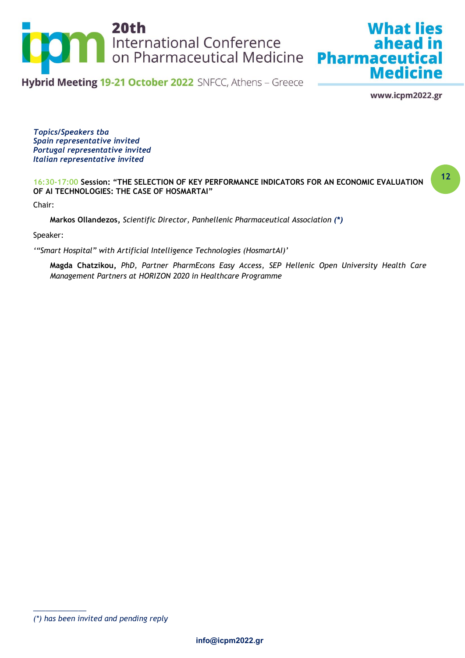

www.icpm2022.gr

**Medicine** 

**What lies** 

**12**

*Topics/Speakers tba Spain representative invited Portugal representative invited Italian representative invited*

#### **16:30-17:00 Session: "THE SELECTION OF KEY PERFORMANCE INDICATORS FOR AN ECONOMIC EVALUATION OF AI TECHNOLOGIES: THE CASE OF HOSMARTAI"**

Chair:

**Markos Ollandezos,** *Scientific Director, Panhellenic Pharmaceutical Association (\*)*

Speaker:

*'"Smart Hospital" with Artificial Intelligence Technologies (HosmartAI)'*

**Magda Chatzikou,** *PhD, Partner PharmEcons Easy Access, SEP Hellenic Open University Health Care Management Partners at HORIZON 2020 in Healthcare Programme* 

*<sup>(\*)</sup> has been invited and pending reply*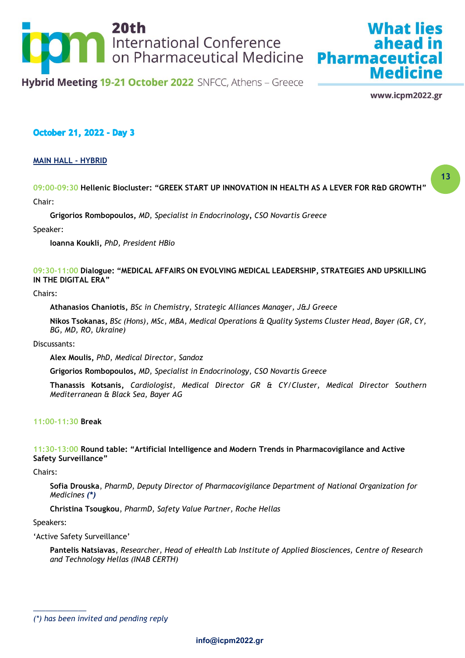

www.icpm2022.gr

**Medicine** 

What lies

**13**

## **October 21, 2022 - Day 3**

#### **MAIN HALL - HYBRID**

**09:00-09:30 Hellenic Biocluster: "GREEK START UP INNOVATION IN HEALTH AS A LEVER FOR R&D GROWTH"** Chair:

**Grigorios Rombopoulos,** *MD, Specialist in Endocrinology, CSO Novartis Greece*

Speaker:

**Ioanna Koukli,** *PhD, President HBio*

#### **09:30-11:00 Dialogue: "MEDICAL AFFAIRS ON EVOLVING MEDICAL LEADERSHIP, STRATEGIES AND UPSKILLING IN THE DIGITAL ERA"**

#### Chairs:

**Athanasios Chaniotis,** *BSc in Chemistry, Strategic Alliances Manager, J&J Greece*

**Nikos Tsokanas,** *BSc (Hons), MSc, MBA, Medical Operations & Quality Systems Cluster Head, Bayer (GR, CY, BG, MD, RO, Ukraine)*

Discussants:

**Alex Moulis,** *PhD, Medical Director, Sandoz*

**Grigorios Rombopoulos,** *MD, Specialist in Endocrinology, CSO Novartis Greece*

**Thanassis Kotsanis,** *Cardiologist, Medical Director GR & CY/Cluster, Medical Director Southern Mediterranean & Black Sea, Bayer AG*

#### **11:00-11:30 Break**

#### **11:30-13:00 Round table: "Artificial Intelligence and Modern Trends in Pharmacovigilance and Active Safety Surveillance"**

Chairs:

**Sofia Drouska**, *PharmD, Deputy Director of Pharmacovigilance Department of National Organization for Medicines (\*)*

**Christina Tsougkou**, *PharmD, Safety Value Partner, Roche Hellas*

Speakers:

*\_\_\_\_\_\_\_\_\_\_\_\_\_*

'Active Safety Surveillance'

**Pantelis Natsiavas**, *Researcher, Head of eHealth Lab Institute of Applied Biosciences, Centre of Research and Technology Hellas (INAB CERTH)*

*<sup>(\*)</sup> has been invited and pending reply*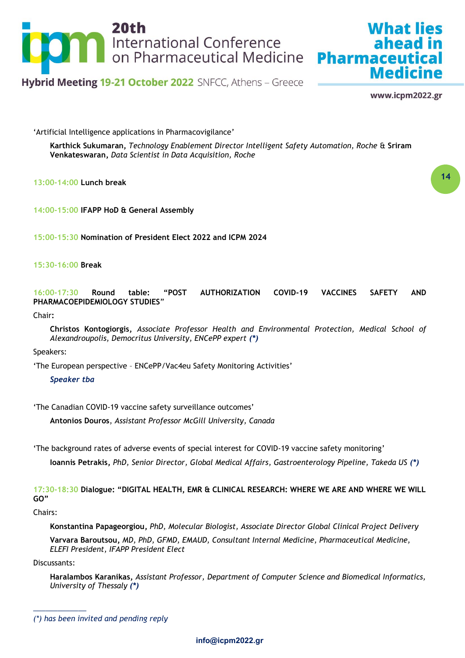

www.icpm2022.gr

**Medicine** 

**What lies** 

**14**

'Artificial Intelligence applications in Pharmacovigilance'

**Karthick Sukumaran,** *Technology Enablement Director Intelligent Safety Automation, Roche* & **Sriram Venkateswaran,** *Data Scientist in Data Acquisition, Roche*

**13:00-14:00 Lunch break**

**14:00-15:00 IFAPP HoD & General Assembly** 

**15:00-15:30 Nomination of President Elect 2022 and ICPM 2024**

**15:30-16:00 Break**

**16:00-17:30 Round table: "POST AUTHORIZATION COVID-19 VACCINES SAFETY AND PHARMACOEPIDEMIOLOGY STUDIES**"

Chair**:** 

**Christos Kontogiorgis,** *Associate Professor Health and Environmental Protection, Medical School of Alexandroupolis, Democritus University, ENCePP expert (\*)*

Speakers:

'The European perspective – ENCePP/Vac4eu Safety Monitoring Activities'

*Speaker tba*

'The Canadian COVID-19 vaccine safety surveillance outcomes'

**Antonios Douros**, *Assistant Professor McGill University, Canada*

'The background rates of adverse events of special interest for COVID-19 vaccine safety monitoring'

**Ioannis Petrakis,** *PhD, Senior Director, Global Medical Affairs, Gastroenterology Pipeline, Takeda US (\*)*

**17:30-18:30 Dialogue: "DIGITAL HEALTH, EMR & CLINICAL RESEARCH: WHERE WE ARE AND WHERE WE WILL GO"**

Chairs:

**Konstantina Papageorgiou,** *PhD, Molecular Biologist, Associate Director Global Clinical Project Delivery*

**Varvara Baroutsou,** *MD, PhD, GFMD, EMAUD, Consultant Internal Medicine, Pharmaceutical Medicine, ELEFI President, IFAPP President Elect*

Discussants:

*\_\_\_\_\_\_\_\_\_\_\_\_\_*

**Haralambos Karanikas,** *Assistant Professor, Department of Computer Science and Biomedical Informatics, University of Thessaly (\*)*

*<sup>(\*)</sup> has been invited and pending reply*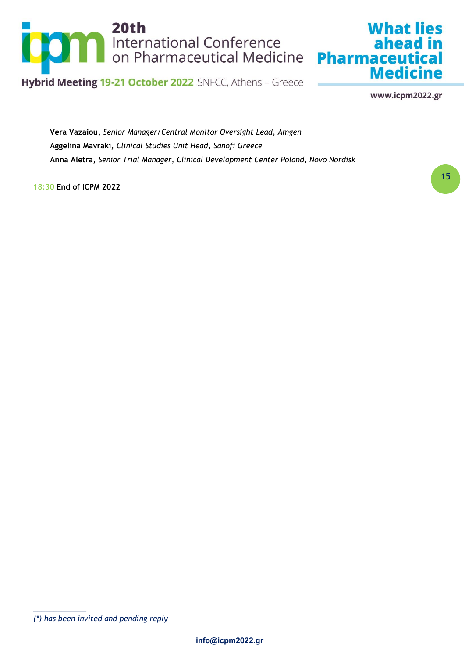

www.icpm2022.gr

**Medicine** 

**What lies** 

**Vera Vazaiou,** *Senior Manager/Central Monitor Oversight Lead, Amgen* **Aggelina Mavraki,** *Clinical Studies Unit Head, Sanofi Greece* **Anna Aletra,** *Senior Trial Manager, Clinical Development Center Poland, Novo Nordisk*

**18:30 End of ICPM 2022**

**<sup>15</sup>**

*<sup>(\*)</sup> has been invited and pending reply*